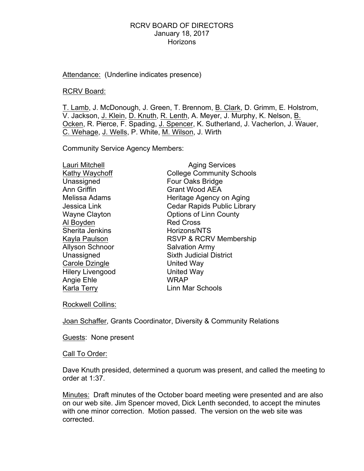Attendance: (Underline indicates presence)

RCRV Board:

T. Lamb, J. McDonough, J. Green, T. Brennom, B. Clark, D. Grimm, E. Holstrom, V. Jackson, J. Klein, D. Knuth, R. Lenth, A. Meyer, J. Murphy, K. Nelson, B. Ocken, R. Pierce, F. Spading, J. Spencer, K. Sutherland, J. Vacherlon, J. Wauer, C. Wehage, J. Wells, P. White, M. Wilson, J. Wirth

Community Service Agency Members:

| Lauri Mitchell          | <b>Aging Services</b>              |
|-------------------------|------------------------------------|
| Kathy Waychoff          | <b>College Community Schools</b>   |
| Unassigned              | Four Oaks Bridge                   |
| <b>Ann Griffin</b>      | <b>Grant Wood AEA</b>              |
| Melissa Adams           | Heritage Agency on Aging           |
| Jessica Link            | <b>Cedar Rapids Public Library</b> |
| <b>Wayne Clayton</b>    | <b>Options of Linn County</b>      |
| Al Boyden               | <b>Red Cross</b>                   |
| Sherita Jenkins         | Horizons/NTS                       |
| Kayla Paulson           | <b>RSVP &amp; RCRV Membership</b>  |
| <b>Allyson Schnoor</b>  | <b>Salvation Army</b>              |
| Unassigned              | <b>Sixth Judicial District</b>     |
| Carole Dzingle          | United Way                         |
| <b>Hilery Livengood</b> | <b>United Way</b>                  |
| Angie Ehle              | <b>WRAP</b>                        |
| Karla Terry             | Linn Mar Schools                   |

Rockwell Collins:

Joan Schaffer, Grants Coordinator, Diversity & Community Relations

Guests: None present

Call To Order:

Dave Knuth presided, determined a quorum was present, and called the meeting to order at 1:37.

Minutes: Draft minutes of the October board meeting were presented and are also on our web site. Jim Spencer moved, Dick Lenth seconded, to accept the minutes with one minor correction. Motion passed. The version on the web site was corrected.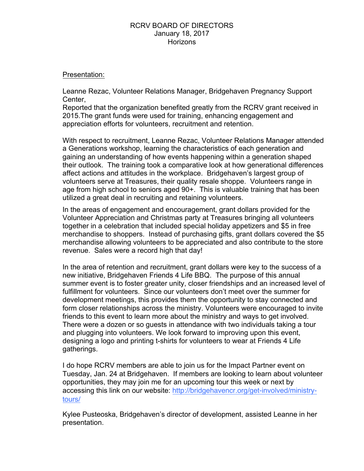## Presentation:

Leanne Rezac, Volunteer Relations Manager, Bridgehaven Pregnancy Support Center,

Reported that the organization benefited greatly from the RCRV grant received in 2015.The grant funds were used for training, enhancing engagement and appreciation efforts for volunteers, recruitment and retention.

With respect to recruitment, Leanne Rezac, Volunteer Relations Manager attended a Generations workshop, learning the characteristics of each generation and gaining an understanding of how events happening within a generation shaped their outlook. The training took a comparative look at how generational differences affect actions and attitudes in the workplace. Bridgehaven's largest group of volunteers serve at Treasures, their quality resale shoppe. Volunteers range in age from high school to seniors aged 90+. This is valuable training that has been utilized a great deal in recruiting and retaining volunteers.

In the areas of engagement and encouragement, grant dollars provided for the Volunteer Appreciation and Christmas party at Treasures bringing all volunteers together in a celebration that included special holiday appetizers and \$5 in free merchandise to shoppers. Instead of purchasing gifts, grant dollars covered the \$5 merchandise allowing volunteers to be appreciated and also contribute to the store revenue. Sales were a record high that day!

In the area of retention and recruitment, grant dollars were key to the success of a new initiative, Bridgehaven Friends 4 Life BBQ. The purpose of this annual summer event is to foster greater unity, closer friendships and an increased level of fulfillment for volunteers. Since our volunteers don't meet over the summer for development meetings, this provides them the opportunity to stay connected and form closer relationships across the ministry. Volunteers were encouraged to invite friends to this event to learn more about the ministry and ways to get involved. There were a dozen or so guests in attendance with two individuals taking a tour and plugging into volunteers. We look forward to improving upon this event, designing a logo and printing t-shirts for volunteers to wear at Friends 4 Life gatherings.

I do hope RCRV members are able to join us for the Impact Partner event on Tuesday, Jan. 24 at Bridgehaven. If members are looking to learn about volunteer opportunities, they may join me for an upcoming tour this week or next by accessing this link on our website: http://bridgehavencr.org/get-involved/ministrytours/

Kylee Pusteoska, Bridgehaven's director of development, assisted Leanne in her presentation.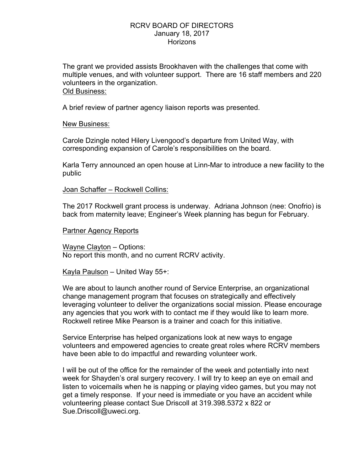The grant we provided assists Brookhaven with the challenges that come with multiple venues, and with volunteer support. There are 16 staff members and 220 volunteers in the organization. Old Business:

A brief review of partner agency liaison reports was presented.

## New Business:

Carole Dzingle noted Hilery Livengood's departure from United Way, with corresponding expansion of Carole's responsibilities on the board.

Karla Terry announced an open house at Linn-Mar to introduce a new facility to the public

#### Joan Schaffer – Rockwell Collins:

The 2017 Rockwell grant process is underway. Adriana Johnson (nee: Onofrio) is back from maternity leave; Engineer's Week planning has begun for February.

#### Partner Agency Reports

Wayne Clayton – Options: No report this month, and no current RCRV activity.

Kayla Paulson – United Way 55+:

We are about to launch another round of Service Enterprise, an organizational change management program that focuses on strategically and effectively leveraging volunteer to deliver the organizations social mission. Please encourage any agencies that you work with to contact me if they would like to learn more. Rockwell retiree Mike Pearson is a trainer and coach for this initiative.

Service Enterprise has helped organizations look at new ways to engage volunteers and empowered agencies to create great roles where RCRV members have been able to do impactful and rewarding volunteer work.

I will be out of the office for the remainder of the week and potentially into next week for Shayden's oral surgery recovery. I will try to keep an eye on email and listen to voicemails when he is napping or playing video games, but you may not get a timely response. If your need is immediate or you have an accident while volunteering please contact Sue Driscoll at 319.398.5372 x 822 or Sue.Driscoll@uweci.org.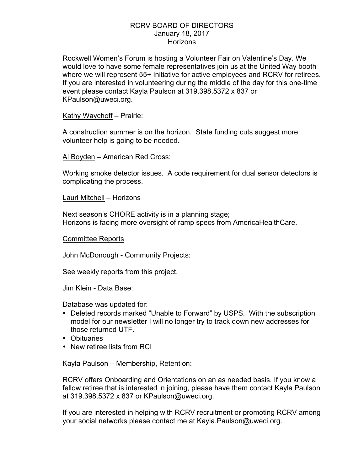Rockwell Women's Forum is hosting a Volunteer Fair on Valentine's Day. We would love to have some female representatives join us at the United Way booth where we will represent 55+ Initiative for active employees and RCRV for retirees. If you are interested in volunteering during the middle of the day for this one-time event please contact Kayla Paulson at 319.398.5372 x 837 or KPaulson@uweci.org.

Kathy Waychoff – Prairie:

A construction summer is on the horizon. State funding cuts suggest more volunteer help is going to be needed.

Al Boyden – American Red Cross:

Working smoke detector issues. A code requirement for dual sensor detectors is complicating the process.

Lauri Mitchell - Horizons

Next season's CHORE activity is in a planning stage; Horizons is facing more oversight of ramp specs from AmericaHealthCare.

Committee Reports

John McDonough - Community Projects:

See weekly reports from this project.

Jim Klein - Data Base:

Database was updated for:

- Deleted records marked "Unable to Forward" by USPS. With the subscription model for our newsletter I will no longer try to track down new addresses for those returned UTF.
- Obituaries
- New retiree lists from RCI

Kayla Paulson – Membership, Retention:

RCRV offers Onboarding and Orientations on an as needed basis. If you know a fellow retiree that is interested in joining, please have them contact Kayla Paulson at 319.398.5372 x 837 or KPaulson@uweci.org.

If you are interested in helping with RCRV recruitment or promoting RCRV among your social networks please contact me at Kayla.Paulson@uweci.org.